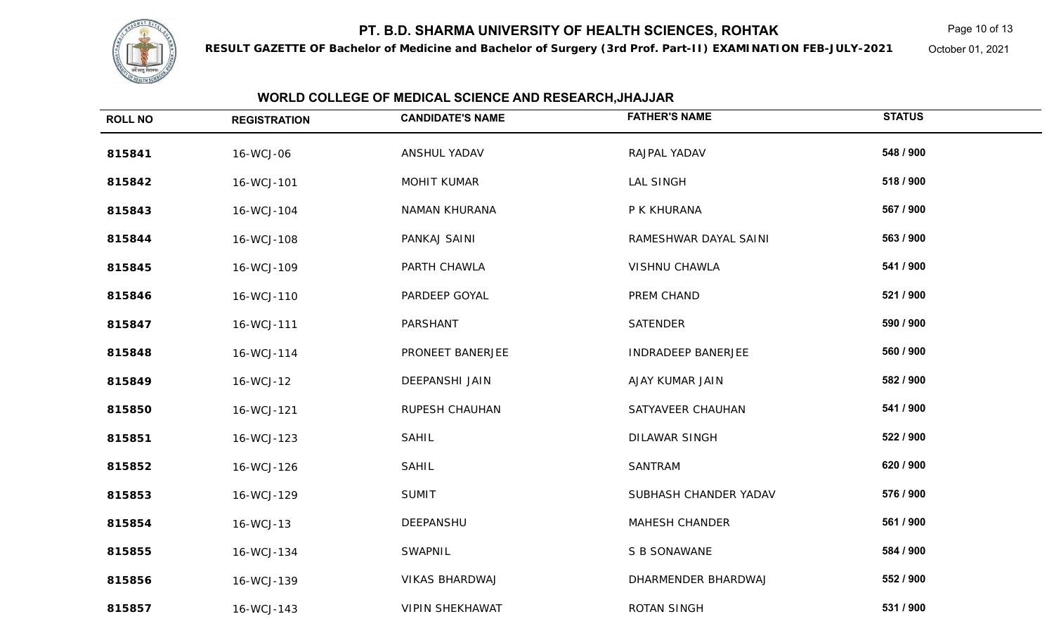

**RESULT GAZETTE OF Bachelor of Medicine and Bachelor of Surgery (3rd Prof. Part-II) EXAMINATION FEB-JULY-2021**

Page 10 of 13

October 01, 2021

| <b>ROLL NO</b> | <b>REGISTRATION</b> | <b>CANDIDATE'S NAME</b> | <b>FATHER'S NAME</b>      | <b>STATUS</b> |  |
|----------------|---------------------|-------------------------|---------------------------|---------------|--|
| 815841         | 16-WCJ-06           | ANSHUL YADAV            | RAJPAL YADAV              | 548 / 900     |  |
| 815842         | 16-WCJ-101          | MOHIT KUMAR             | LAL SINGH                 | 518 / 900     |  |
| 815843         | 16-WCJ-104          | NAMAN KHURANA           | P K KHURANA               | 567 / 900     |  |
| 815844         | 16-WCJ-108          | PANKAJ SAINI            | RAMESHWAR DAYAL SAINI     | 563 / 900     |  |
| 815845         | 16-WCJ-109          | PARTH CHAWLA            | <b>VISHNU CHAWLA</b>      | 541 / 900     |  |
| 815846         | 16-WCJ-110          | PARDEEP GOYAL           | PREM CHAND                | 521 / 900     |  |
| 815847         | 16-WCJ-111          | PARSHANT                | <b>SATENDER</b>           | 590 / 900     |  |
| 815848         | 16-WCJ-114          | PRONEET BANERJEE        | <b>INDRADEEP BANERJEE</b> | 560 / 900     |  |
| 815849         | 16-WCJ-12           | DEEPANSHI JAIN          | AJAY KUMAR JAIN           | 582 / 900     |  |
| 815850         | 16-WCJ-121          | RUPESH CHAUHAN          | SATYAVEER CHAUHAN         | 541 / 900     |  |
| 815851         | 16-WCJ-123          | <b>SAHIL</b>            | <b>DILAWAR SINGH</b>      | 522 / 900     |  |
| 815852         | 16-WCJ-126          | <b>SAHIL</b>            | SANTRAM                   | 620 / 900     |  |
| 815853         | 16-WCJ-129          | <b>SUMIT</b>            | SUBHASH CHANDER YADAV     | 576 / 900     |  |
| 815854         | 16-WCJ-13           | DEEPANSHU               | <b>MAHESH CHANDER</b>     | 561 / 900     |  |
| 815855         | 16-WCJ-134          | SWAPNIL                 | S B SONAWANE              | 584 / 900     |  |
| 815856         | 16-WCJ-139          | <b>VIKAS BHARDWAJ</b>   | DHARMENDER BHARDWAJ       | 552 / 900     |  |
| 815857         | 16-WCJ-143          | <b>VIPIN SHEKHAWAT</b>  | ROTAN SINGH               | 531 / 900     |  |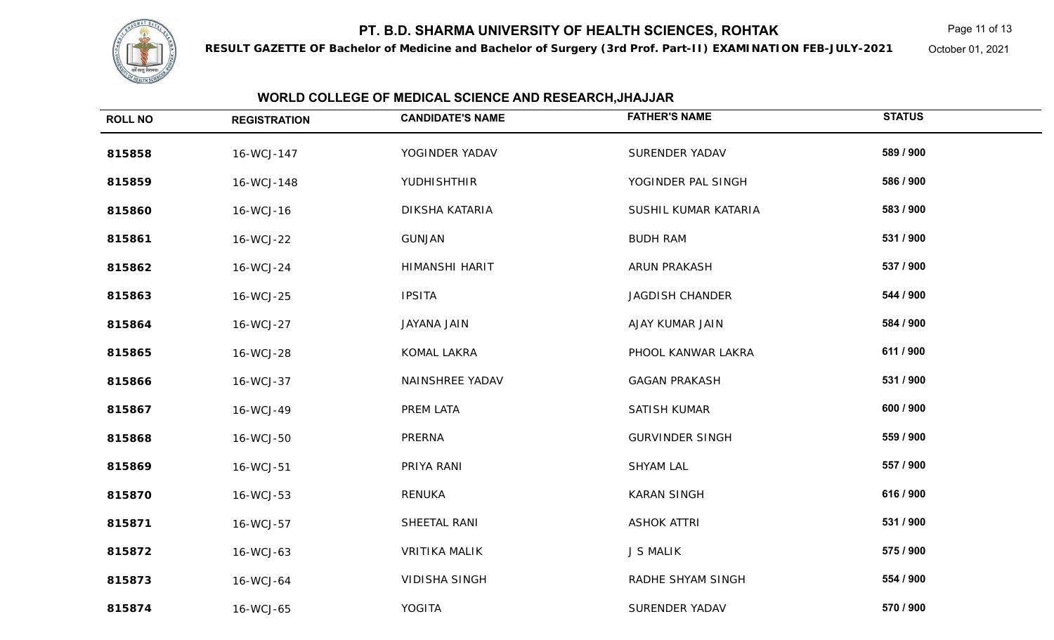

**RESULT GAZETTE OF Bachelor of Medicine and Bachelor of Surgery (3rd Prof. Part-II) EXAMINATION FEB-JULY-2021**

Page 11 of 13

October 01, 2021

| <b>ROLL NO</b> | <b>REGISTRATION</b> | <b>CANDIDATE'S NAME</b> | <b>FATHER'S NAME</b>   | <b>STATUS</b> |
|----------------|---------------------|-------------------------|------------------------|---------------|
| 815858         | 16-WCJ-147          | YOGINDER YADAV          | <b>SURENDER YADAV</b>  | 589 / 900     |
| 815859         | 16-WCJ-148          | YUDHISHTHIR             | YOGINDER PAL SINGH     | 586 / 900     |
| 815860         | 16-WCJ-16           | DIKSHA KATARIA          | SUSHIL KUMAR KATARIA   | 583 / 900     |
| 815861         | 16-WCJ-22           | <b>GUNJAN</b>           | <b>BUDH RAM</b>        | 531 / 900     |
| 815862         | 16-WCJ-24           | HIMANSHI HARIT          | ARUN PRAKASH           | 537 / 900     |
| 815863         | 16-WCJ-25           | <b>IPSITA</b>           | <b>JAGDISH CHANDER</b> | 544 / 900     |
| 815864         | 16-WCJ-27           | JAYANA JAIN             | AJAY KUMAR JAIN        | 584 / 900     |
| 815865         | 16-WCJ-28           | KOMAL LAKRA             | PHOOL KANWAR LAKRA     | 611 / 900     |
| 815866         | 16-WCJ-37           | NAINSHREE YADAV         | <b>GAGAN PRAKASH</b>   | 531 / 900     |
| 815867         | 16-WCJ-49           | PREM LATA               | SATISH KUMAR           | 600 / 900     |
| 815868         | 16-WCJ-50           | PRERNA                  | <b>GURVINDER SINGH</b> | 559 / 900     |
| 815869         | 16-WCJ-51           | PRIYA RANI              | <b>SHYAM LAL</b>       | 557 / 900     |
| 815870         | 16-WCJ-53           | RENUKA                  | <b>KARAN SINGH</b>     | 616 / 900     |
| 815871         | 16-WCJ-57           | SHEETAL RANI            | <b>ASHOK ATTRI</b>     | 531 / 900     |
| 815872         | 16-WCJ-63           | <b>VRITIKA MALIK</b>    | <b>J S MALIK</b>       | 575 / 900     |
| 815873         | 16-WCJ-64           | <b>VIDISHA SINGH</b>    | RADHE SHYAM SINGH      | 554 / 900     |
| 815874         | 16-WCJ-65           | YOGITA                  | SURENDER YADAV         | 570 / 900     |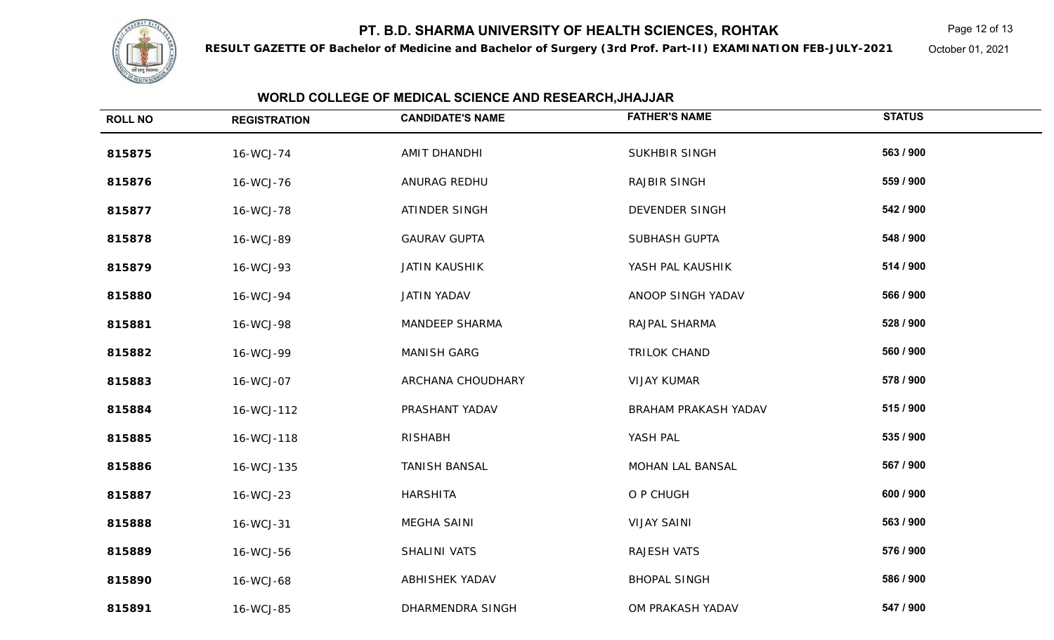

**RESULT GAZETTE OF Bachelor of Medicine and Bachelor of Surgery (3rd Prof. Part-II) EXAMINATION FEB-JULY-2021**

Page 12 of 13

October 01, 2021

| <b>ROLL NO</b> | <b>REGISTRATION</b> | <b>CANDIDATE'S NAME</b> | <b>FATHER'S NAME</b> | <b>STATUS</b> |  |
|----------------|---------------------|-------------------------|----------------------|---------------|--|
| 815875         | 16-WCJ-74           | AMIT DHANDHI            | <b>SUKHBIR SINGH</b> | 563 / 900     |  |
| 815876         | 16-WCJ-76           | ANURAG REDHU            | <b>RAJBIR SINGH</b>  | 559 / 900     |  |
| 815877         | 16-WCJ-78           | ATINDER SINGH           | DEVENDER SINGH       | 542 / 900     |  |
| 815878         | 16-WCJ-89           | <b>GAURAV GUPTA</b>     | SUBHASH GUPTA        | 548 / 900     |  |
| 815879         | 16-WCJ-93           | <b>JATIN KAUSHIK</b>    | YASH PAL KAUSHIK     | 514 / 900     |  |
| 815880         | 16-WCJ-94           | <b>JATIN YADAV</b>      | ANOOP SINGH YADAV    | 566 / 900     |  |
| 815881         | 16-WCJ-98           | <b>MANDEEP SHARMA</b>   | RAJPAL SHARMA        | 528 / 900     |  |
| 815882         | 16-WCJ-99           | <b>MANISH GARG</b>      | <b>TRILOK CHAND</b>  | 560 / 900     |  |
| 815883         | 16-WCJ-07           | ARCHANA CHOUDHARY       | <b>VIJAY KUMAR</b>   | 578 / 900     |  |
| 815884         | 16-WCJ-112          | PRASHANT YADAV          | BRAHAM PRAKASH YADAV | 515 / 900     |  |
| 815885         | 16-WCJ-118          | <b>RISHABH</b>          | YASH PAL             | 535 / 900     |  |
| 815886         | 16-WCJ-135          | <b>TANISH BANSAL</b>    | MOHAN LAL BANSAL     | 567 / 900     |  |
| 815887         | 16-WCJ-23           | <b>HARSHITA</b>         | O P CHUGH            | 600 / 900     |  |
| 815888         | 16-WCJ-31           | MEGHA SAINI             | <b>VIJAY SAINI</b>   | 563 / 900     |  |
| 815889         | 16-WCJ-56           | SHALINI VATS            | <b>RAJESH VATS</b>   | 576 / 900     |  |
| 815890         | 16-WCJ-68           | ABHISHEK YADAV          | <b>BHOPAL SINGH</b>  | 586 / 900     |  |
| 815891         | 16-WCJ-85           | DHARMENDRA SINGH        | OM PRAKASH YADAV     | 547 / 900     |  |